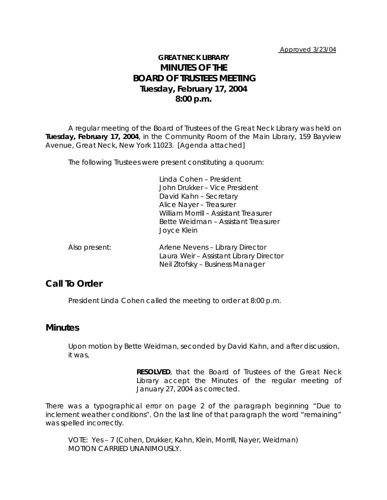## **GREAT NECK LIBRARY MINUTES OF THE BOARD OF TRUSTEES MEETING Tuesday, February 17, 2004 8:00 p.m.**

A regular meeting of the Board of Trustees of the Great Neck Library was held on **Tuesday, February 17, 2004**, in the Community Room of the Main Library, 159 Bayview Avenue, Great Neck, New York 11023. [Agenda attached]

The following Trustees were present constituting a quorum:

Linda Cohen – President John Drukker – Vice President David Kahn – Secretary Alice Nayer – Treasurer William Morrill – Assistant Treasurer Bette Weidman – Assistant Treasurer Joyce Klein

Also present: Arlene Nevens – Library Director Laura Weir – Assistant Library Director Neil Zitofsky – Business Manager

## **Call To Order**

President Linda Cohen called the meeting to order at 8:00 p.m.

### **Minutes**

Upon motion by Bette Weidman, seconded by David Kahn, and after discussion, it was,

> **RESOLVED**, that the Board of Trustees of the Great Neck Library accept the Minutes of the regular meeting of January 27, 2004 as corrected.

There was a typographical error on page 2 of the paragraph beginning "Due to inclement weather conditions". On the last line of that paragraph the word "remaining" was spelled incorrectly.

VOTE:Yes – 7 (Cohen, Drukker, Kahn, Klein, Morrill, Nayer, Weidman) *MOTION CARRIED UNANIMOUSLY.*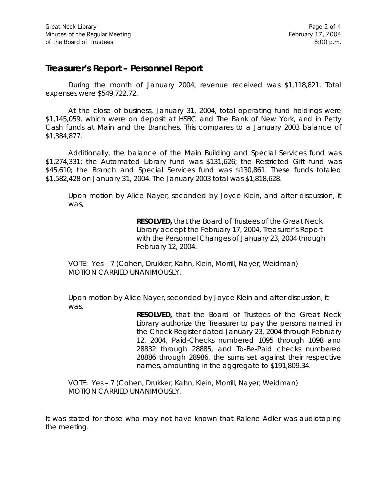## **Treasurer's Report – Personnel Report**

During the month of January 2004, revenue received was \$1,118,821. Total expenses were \$549,722.72.

At the close of business, January 31, 2004, total operating fund holdings were \$1,145,059, which were on deposit at HSBC and The Bank of New York, and in Petty Cash funds at Main and the Branches. This compares to a January 2003 balance of \$1,384,877.

Additionally, the balance of the Main Building and Special Services fund was \$1,274,331; the Automated Library fund was \$131,626; the Restricted Gift fund was \$45,610; the Branch and Special Services fund was \$130,861. These funds totaled \$1,582,428 on January 31, 2004. The January 2003 total was \$1,818,628.

Upon motion by Alice Nayer, seconded by Joyce Klein, and after discussion, it was,

> **RESOLVED,** that the Board of Trustees of the Great Neck Library accept the February 17, 2004, Treasurer's Report with the Personnel Changes of January 23, 2004 through February 12, 2004.

VOTE:Yes – 7 (Cohen, Drukker, Kahn, Klein, Morrill, Nayer, Weidman) *MOTION CARRIED UNANIMOUSLY.*

Upon motion by Alice Nayer, seconded by Joyce Klein and after discussion, it was,

> **RESOLVED,** that the Board of Trustees of the Great Neck Library authorize the Treasurer to pay the persons named in the Check Register dated January 23, 2004 through February 12, 2004, Paid-Checks numbered 1095 through 1098 and 28832 through 28885, and To-Be-Paid checks numbered 28886 through 28986, the sums set against their respective names, amounting in the aggregate to \$191,809.34.

VOTE:Yes – 7 (Cohen, Drukker, Kahn, Klein, Morrill, Nayer, Weidman) *MOTION CARRIED UNANIMOUSLY.*

It was stated for those who may not have known that Ralene Adler was audiotaping the meeting.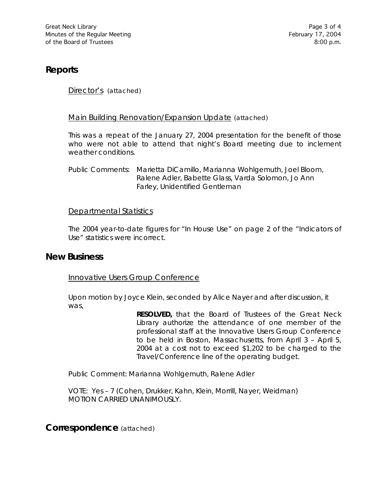# **Reports**

Director's (attached)

#### Main Building Renovation/Expansion Update (attached)

This was a repeat of the January 27, 2004 presentation for the benefit of those who were not able to attend that night's Board meeting due to inclement weather conditions.

Public Comments: Marietta DiCamillo, Marianna Wohlgemuth, Joel Bloom, Ralene Adler, Babette Glass, Varda Solomon, Jo Ann Farley, Unidentified Gentleman

#### Departmental Statistics

The 2004 year-to-date figures for "In House Use" on page 2 of the "Indicators of Use" statistics were incorrect.

### **New Business**

Innovative Users Group Conference

Upon motion by Joyce Klein, seconded by Alice Nayer and after discussion, it was,

> **RESOLVED,** that the Board of Trustees of the Great Neck Library authorize the attendance of one member of the professional staff at the Innovative Users Group Conference to be held in Boston, Massachusetts, from April 3 – April 5, 2004 at a cost not to exceed \$1,202 to be charged to the Travel/Conference line of the operating budget.

Public Comment: Marianna Wohlgemuth, Ralene Adler

VOTE:Yes – 7 (Cohen, Drukker, Kahn, Klein, Morrill, Nayer, Weidman) *MOTION CARRIED UNANIMOUSLY.*

**Correspondence** (attached)